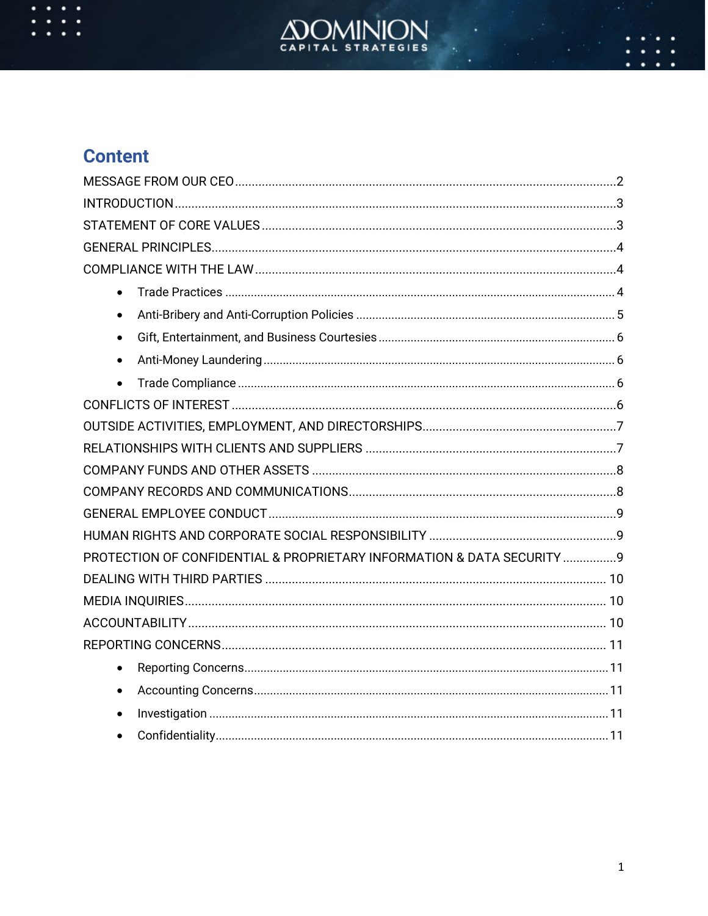

# **Content**

| $\bullet$                                                               |  |
|-------------------------------------------------------------------------|--|
| $\bullet$                                                               |  |
| $\bullet$                                                               |  |
| $\bullet$                                                               |  |
| $\bullet$                                                               |  |
|                                                                         |  |
|                                                                         |  |
|                                                                         |  |
|                                                                         |  |
|                                                                         |  |
|                                                                         |  |
|                                                                         |  |
| PROTECTION OF CONFIDENTIAL & PROPRIETARY INFORMATION & DATA SECURITY  9 |  |
|                                                                         |  |
|                                                                         |  |
|                                                                         |  |
|                                                                         |  |
| $\bullet$                                                               |  |
| $\bullet$                                                               |  |
| $\bullet$                                                               |  |
| $\bullet$                                                               |  |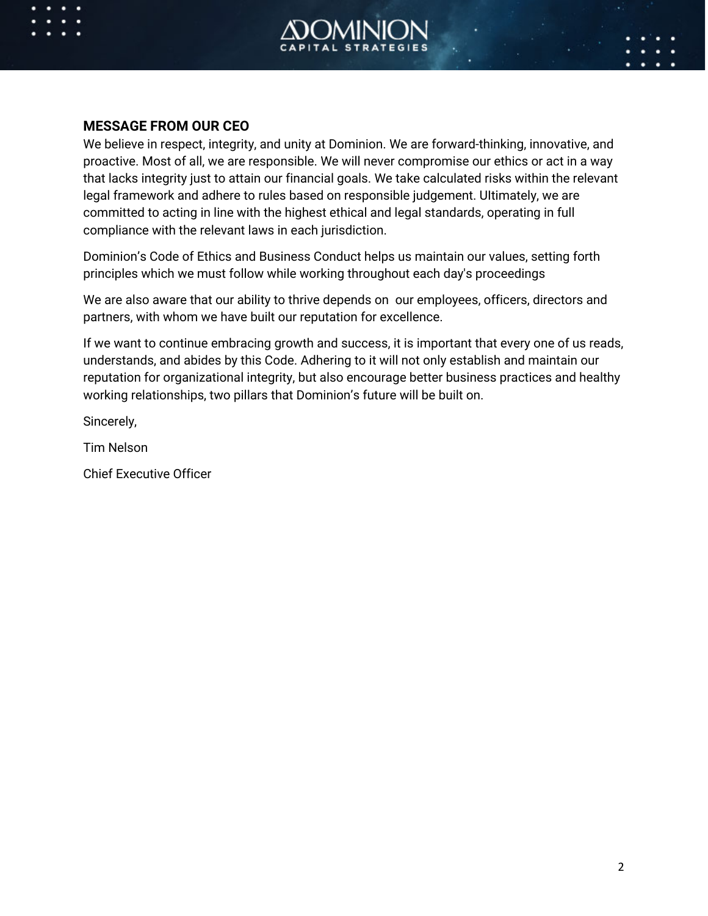

### **MESSAGE FROM OUR CEO**

We believe in respect, integrity, and unity at Dominion. We are forward-thinking, innovative, and proactive. Most of all, we are responsible. We will never compromise our ethics or act in a way that lacks integrity just to attain our financial goals. We take calculated risks within the relevant legal framework and adhere to rules based on responsible judgement. UItimately, we are committed to acting in line with the highest ethical and legal standards, operating in full compliance with the relevant laws in each jurisdiction.

Dominion's Code of Ethics and Business Conduct helps us maintain our values, setting forth principles which we must follow while working throughout each day's proceedings

We are also aware that our ability to thrive depends on our employees, officers, directors and partners, with whom we have built our reputation for excellence.

If we want to continue embracing growth and success, it is important that every one of us reads, understands, and abides by this Code. Adhering to it will not only establish and maintain our reputation for organizational integrity, but also encourage better business practices and healthy working relationships, two pillars that Dominion's future will be built on.

Sincerely,

Tim Nelson

Chief Executive Officer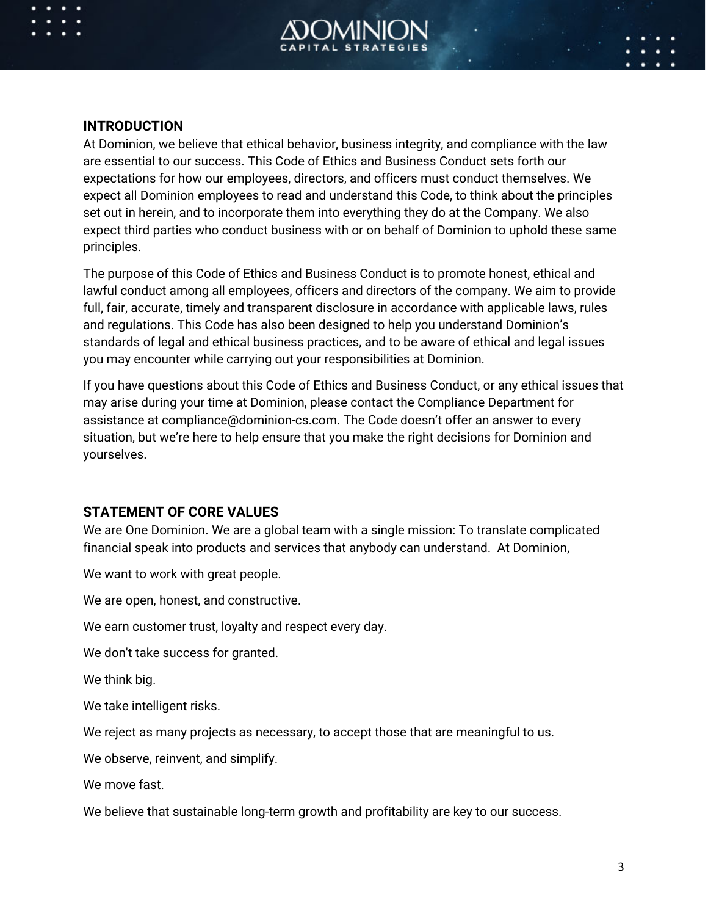

### **INTRODUCTION**

At Dominion, we believe that ethical behavior, business integrity, and compliance with the law are essential to our success. This Code of Ethics and Business Conduct sets forth our expectations for how our employees, directors, and officers must conduct themselves. We expect all Dominion employees to read and understand this Code, to think about the principles set out in herein, and to incorporate them into everything they do at the Company. We also expect third parties who conduct business with or on behalf of Dominion to uphold these same principles.

The purpose of this Code of Ethics and Business Conduct is to promote honest, ethical and lawful conduct among all employees, officers and directors of the company. We aim to provide full, fair, accurate, timely and transparent disclosure in accordance with applicable laws, rules and regulations. This Code has also been designed to help you understand Dominion's standards of legal and ethical business practices, and to be aware of ethical and legal issues you may encounter while carrying out your responsibilities at Dominion.

If you have questions about this Code of Ethics and Business Conduct, or any ethical issues that may arise during your time at Dominion, please contact the Compliance Department for assistance at compliance@dominion-cs.com. The Code doesn't offer an answer to every situation, but we're here to help ensure that you make the right decisions for Dominion and yourselves.

### **STATEMENT OF CORE VALUES**

We are One Dominion. We are a global team with a single mission: To translate complicated financial speak into products and services that anybody can understand. At Dominion,

We want to work with great people.

We are open, honest, and constructive.

We earn customer trust, loyalty and respect every day.

We don't take success for granted.

We think big.

We take intelligent risks.

We reject as many projects as necessary, to accept those that are meaningful to us.

We observe, reinvent, and simplify.

We move fast.

We believe that sustainable long-term growth and profitability are key to our success.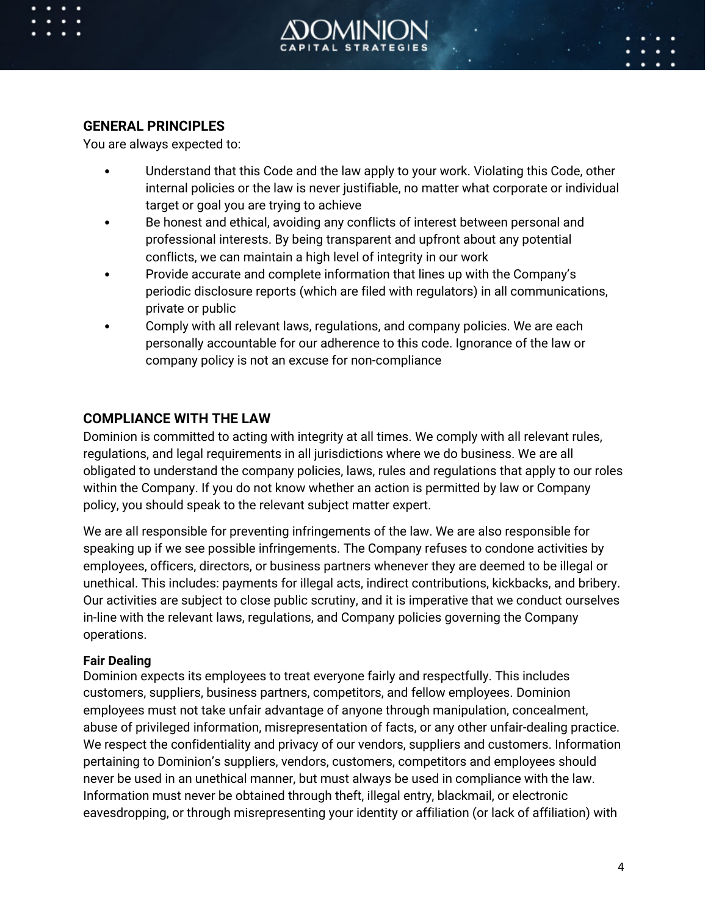

### **GENERAL PRINCIPLES**

You are always expected to:

- Understand that this Code and the law apply to your work. Violating this Code, other internal policies or the law is never justifiable, no matter what corporate or individual target or goal you are trying to achieve
- Be honest and ethical, avoiding any conflicts of interest between personal and professional interests. By being transparent and upfront about any potential conflicts, we can maintain a high level of integrity in our work
- Provide accurate and complete information that lines up with the Company's periodic disclosure reports (which are filed with regulators) in all communications, private or public
- Comply with all relevant laws, regulations, and company policies. We are each personally accountable for our adherence to this code. Ignorance of the law or company policy is not an excuse for non-compliance

# **COMPLIANCE WITH THE LAW**

Dominion is committed to acting with integrity at all times. We comply with all relevant rules, regulations, and legal requirements in all jurisdictions where we do business. We are all obligated to understand the company policies, laws, rules and regulations that apply to our roles within the Company. If you do not know whether an action is permitted by law or Company policy, you should speak to the relevant subject matter expert.

We are all responsible for preventing infringements of the law. We are also responsible for speaking up if we see possible infringements. The Company refuses to condone activities by employees, officers, directors, or business partners whenever they are deemed to be illegal or unethical. This includes: payments for illegal acts, indirect contributions, kickbacks, and bribery. Our activities are subject to close public scrutiny, and it is imperative that we conduct ourselves in-line with the relevant laws, regulations, and Company policies governing the Company operations.

#### **Fair Dealing**

Dominion expects its employees to treat everyone fairly and respectfully. This includes customers, suppliers, business partners, competitors, and fellow employees. Dominion employees must not take unfair advantage of anyone through manipulation, concealment, abuse of privileged information, misrepresentation of facts, or any other unfair-dealing practice. We respect the confidentiality and privacy of our vendors, suppliers and customers. Information pertaining to Dominion's suppliers, vendors, customers, competitors and employees should never be used in an unethical manner, but must always be used in compliance with the law. Information must never be obtained through theft, illegal entry, blackmail, or electronic eavesdropping, or through misrepresenting your identity or affiliation (or lack of affiliation) with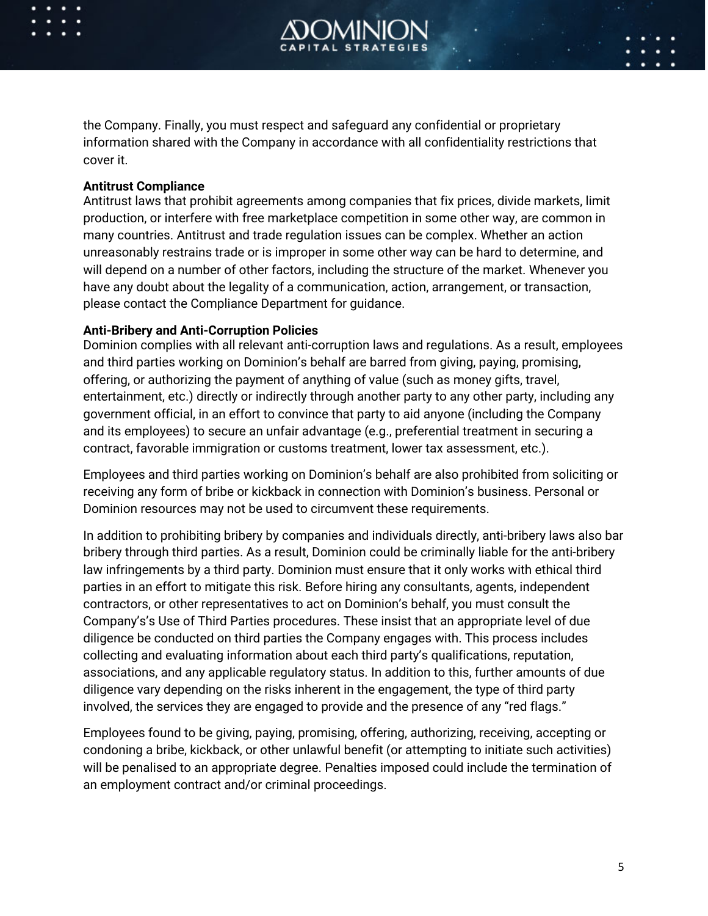

the Company. Finally, you must respect and safeguard any confidential or proprietary information shared with the Company in accordance with all confidentiality restrictions that cover it.

#### **Antitrust Compliance**

Antitrust laws that prohibit agreements among companies that fix prices, divide markets, limit production, or interfere with free marketplace competition in some other way, are common in many countries. Antitrust and trade regulation issues can be complex. Whether an action unreasonably restrains trade or is improper in some other way can be hard to determine, and will depend on a number of other factors, including the structure of the market. Whenever you have any doubt about the legality of a communication, action, arrangement, or transaction, please contact the Compliance Department for guidance.

#### **Anti-Bribery and Anti-Corruption Policies**

Dominion complies with all relevant anti-corruption laws and regulations. As a result, employees and third parties working on Dominion's behalf are barred from giving, paying, promising, offering, or authorizing the payment of anything of value (such as money gifts, travel, entertainment, etc.) directly or indirectly through another party to any other party, including any government official, in an effort to convince that party to aid anyone (including the Company and its employees) to secure an unfair advantage (e.g., preferential treatment in securing a contract, favorable immigration or customs treatment, lower tax assessment, etc.).

Employees and third parties working on Dominion's behalf are also prohibited from soliciting or receiving any form of bribe or kickback in connection with Dominion's business. Personal or Dominion resources may not be used to circumvent these requirements.

In addition to prohibiting bribery by companies and individuals directly, anti-bribery laws also bar bribery through third parties. As a result, Dominion could be criminally liable for the anti-bribery law infringements by a third party. Dominion must ensure that it only works with ethical third parties in an effort to mitigate this risk. Before hiring any consultants, agents, independent contractors, or other representatives to act on Dominion's behalf, you must consult the Company's's Use of Third Parties procedures. These insist that an appropriate level of due diligence be conducted on third parties the Company engages with. This process includes collecting and evaluating information about each third party's qualifications, reputation, associations, and any applicable regulatory status. In addition to this, further amounts of due diligence vary depending on the risks inherent in the engagement, the type of third party involved, the services they are engaged to provide and the presence of any "red flags."

Employees found to be giving, paying, promising, offering, authorizing, receiving, accepting or condoning a bribe, kickback, or other unlawful benefit (or attempting to initiate such activities) will be penalised to an appropriate degree. Penalties imposed could include the termination of an employment contract and/or criminal proceedings.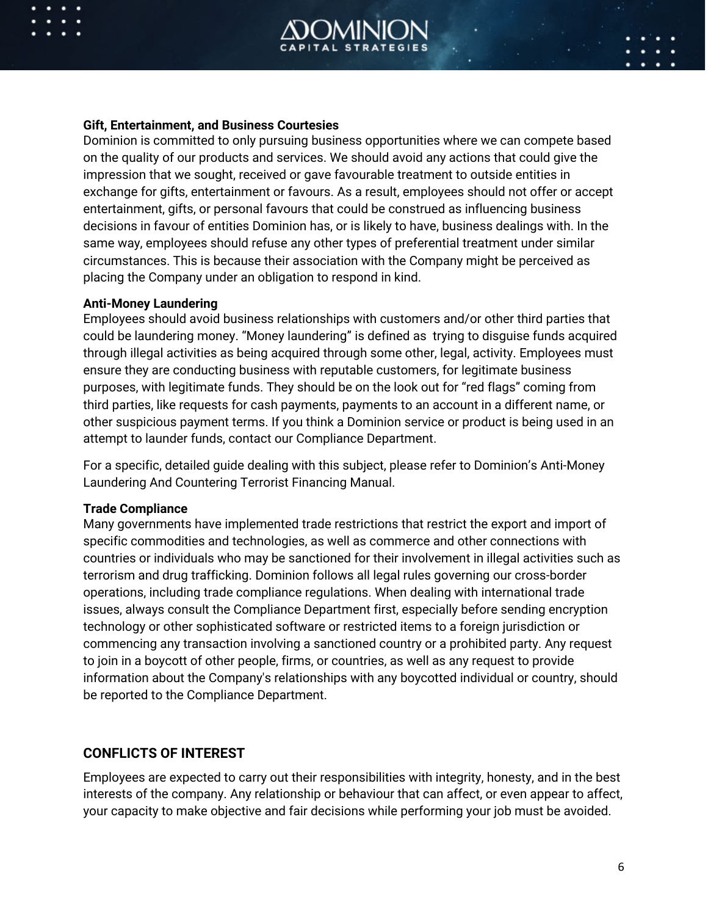

#### **Gift, Entertainment, and Business Courtesies**

Dominion is committed to only pursuing business opportunities where we can compete based on the quality of our products and services. We should avoid any actions that could give the impression that we sought, received or gave favourable treatment to outside entities in exchange for gifts, entertainment or favours. As a result, employees should not offer or accept entertainment, gifts, or personal favours that could be construed as influencing business decisions in favour of entities Dominion has, or is likely to have, business dealings with. In the same way, employees should refuse any other types of preferential treatment under similar circumstances. This is because their association with the Company might be perceived as placing the Company under an obligation to respond in kind.

#### **Anti-Money Laundering**

Employees should avoid business relationships with customers and/or other third parties that could be laundering money. "Money laundering" is defined as trying to disguise funds acquired through illegal activities as being acquired through some other, legal, activity. Employees must ensure they are conducting business with reputable customers, for legitimate business purposes, with legitimate funds. They should be on the look out for "red flags" coming from third parties, like requests for cash payments, payments to an account in a different name, or other suspicious payment terms. If you think a Dominion service or product is being used in an attempt to launder funds, contact our Compliance Department.

For a specific, detailed guide dealing with this subject, please refer to Dominion's Anti-Money Laundering And Countering Terrorist Financing Manual.

#### **Trade Compliance**

Many governments have implemented trade restrictions that restrict the export and import of specific commodities and technologies, as well as commerce and other connections with countries or individuals who may be sanctioned for their involvement in illegal activities such as terrorism and drug trafficking. Dominion follows all legal rules governing our cross-border operations, including trade compliance regulations. When dealing with international trade issues, always consult the Compliance Department first, especially before sending encryption technology or other sophisticated software or restricted items to a foreign jurisdiction or commencing any transaction involving a sanctioned country or a prohibited party. Any request to join in a boycott of other people, firms, or countries, as well as any request to provide information about the Company's relationships with any boycotted individual or country, should be reported to the Compliance Department.

#### **CONFLICTS OF INTEREST**

Employees are expected to carry out their responsibilities with integrity, honesty, and in the best interests of the company. Any relationship or behaviour that can affect, or even appear to affect, your capacity to make objective and fair decisions while performing your job must be avoided.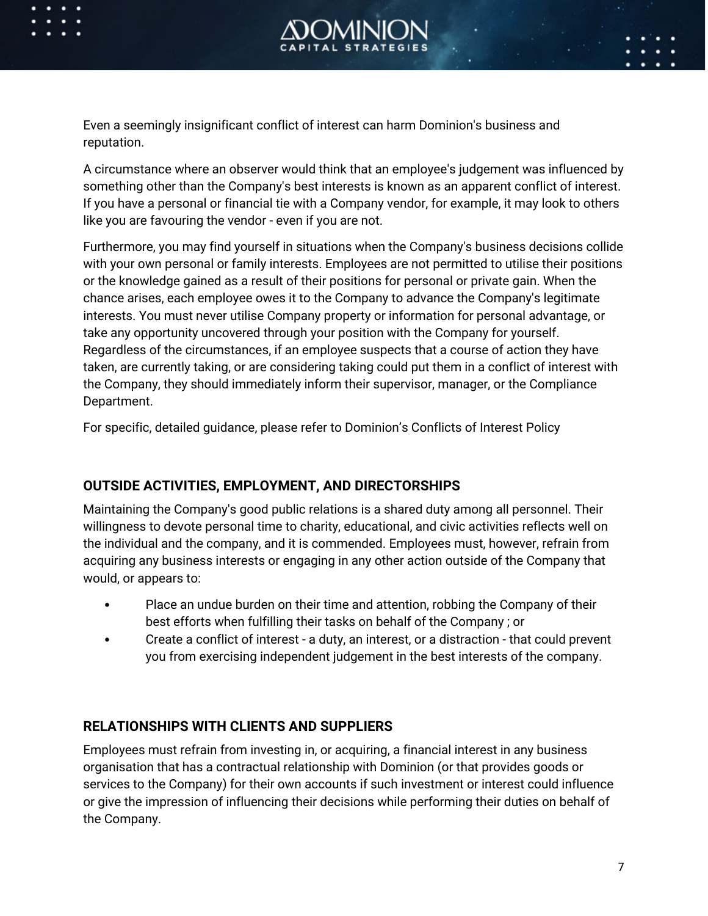



Even a seemingly insignificant conflict of interest can harm Dominion's business and reputation.

A circumstance where an observer would think that an employee's judgement was influenced by something other than the Company's best interests is known as an apparent conflict of interest. If you have a personal or financial tie with a Company vendor, for example, it may look to others like you are favouring the vendor - even if you are not.

Furthermore, you may find yourself in situations when the Company's business decisions collide with your own personal or family interests. Employees are not permitted to utilise their positions or the knowledge gained as a result of their positions for personal or private gain. When the chance arises, each employee owes it to the Company to advance the Company's legitimate interests. You must never utilise Company property or information for personal advantage, or take any opportunity uncovered through your position with the Company for yourself. Regardless of the circumstances, if an employee suspects that a course of action they have taken, are currently taking, or are considering taking could put them in a conflict of interest with the Company, they should immediately inform their supervisor, manager, or the Compliance Department.

For specific, detailed guidance, please refer to Dominion's Conflicts of Interest Policy

# **OUTSIDE ACTIVITIES, EMPLOYMENT, AND DIRECTORSHIPS**

Maintaining the Company's good public relations is a shared duty among all personnel. Their willingness to devote personal time to charity, educational, and civic activities reflects well on the individual and the company, and it is commended. Employees must, however, refrain from acquiring any business interests or engaging in any other action outside of the Company that would, or appears to:

- Place an undue burden on their time and attention, robbing the Company of their best efforts when fulfilling their tasks on behalf of the Company ; or
- Create a conflict of interest a duty, an interest, or a distraction that could prevent you from exercising independent judgement in the best interests of the company.

# **RELATIONSHIPS WITH CLIENTS AND SUPPLIERS**

Employees must refrain from investing in, or acquiring, a financial interest in any business organisation that has a contractual relationship with Dominion (or that provides goods or services to the Company) for their own accounts if such investment or interest could influence or give the impression of influencing their decisions while performing their duties on behalf of the Company.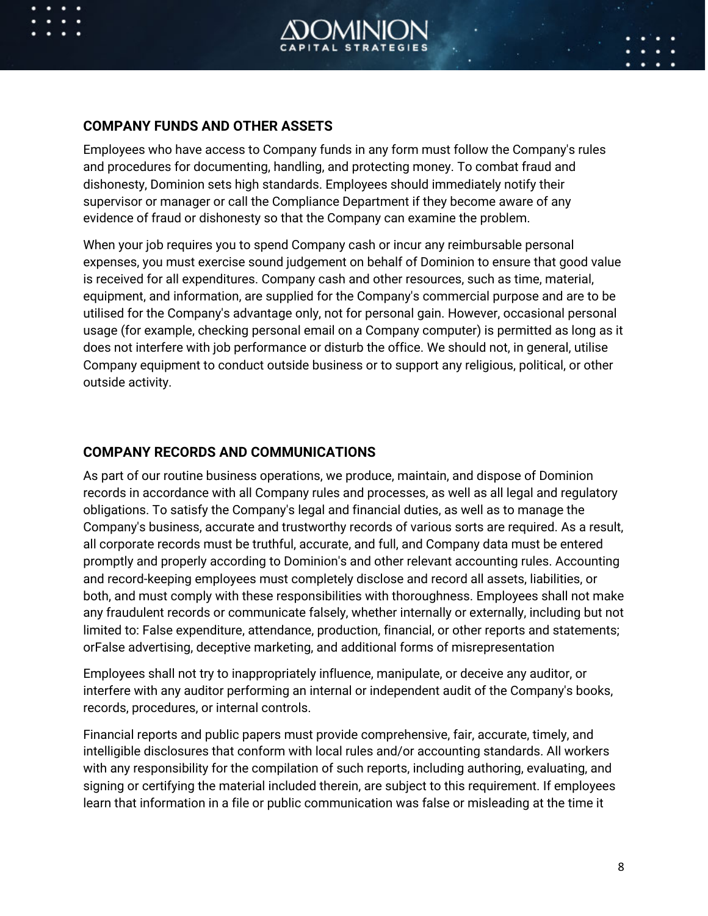

### **COMPANY FUNDS AND OTHER ASSETS**

Employees who have access to Company funds in any form must follow the Company's rules and procedures for documenting, handling, and protecting money. To combat fraud and dishonesty, Dominion sets high standards. Employees should immediately notify their supervisor or manager or call the Compliance Department if they become aware of any evidence of fraud or dishonesty so that the Company can examine the problem.

When your job requires you to spend Company cash or incur any reimbursable personal expenses, you must exercise sound judgement on behalf of Dominion to ensure that good value is received for all expenditures. Company cash and other resources, such as time, material, equipment, and information, are supplied for the Company's commercial purpose and are to be utilised for the Company's advantage only, not for personal gain. However, occasional personal usage (for example, checking personal email on a Company computer) is permitted as long as it does not interfere with job performance or disturb the office. We should not, in general, utilise Company equipment to conduct outside business or to support any religious, political, or other outside activity.

### **COMPANY RECORDS AND COMMUNICATIONS**

As part of our routine business operations, we produce, maintain, and dispose of Dominion records in accordance with all Company rules and processes, as well as all legal and regulatory obligations. To satisfy the Company's legal and financial duties, as well as to manage the Company's business, accurate and trustworthy records of various sorts are required. As a result, all corporate records must be truthful, accurate, and full, and Company data must be entered promptly and properly according to Dominion's and other relevant accounting rules. Accounting and record-keeping employees must completely disclose and record all assets, liabilities, or both, and must comply with these responsibilities with thoroughness. Employees shall not make any fraudulent records or communicate falsely, whether internally or externally, including but not limited to: False expenditure, attendance, production, financial, or other reports and statements; orFalse advertising, deceptive marketing, and additional forms of misrepresentation

Employees shall not try to inappropriately influence, manipulate, or deceive any auditor, or interfere with any auditor performing an internal or independent audit of the Company's books, records, procedures, or internal controls.

Financial reports and public papers must provide comprehensive, fair, accurate, timely, and intelligible disclosures that conform with local rules and/or accounting standards. All workers with any responsibility for the compilation of such reports, including authoring, evaluating, and signing or certifying the material included therein, are subject to this requirement. If employees learn that information in a file or public communication was false or misleading at the time it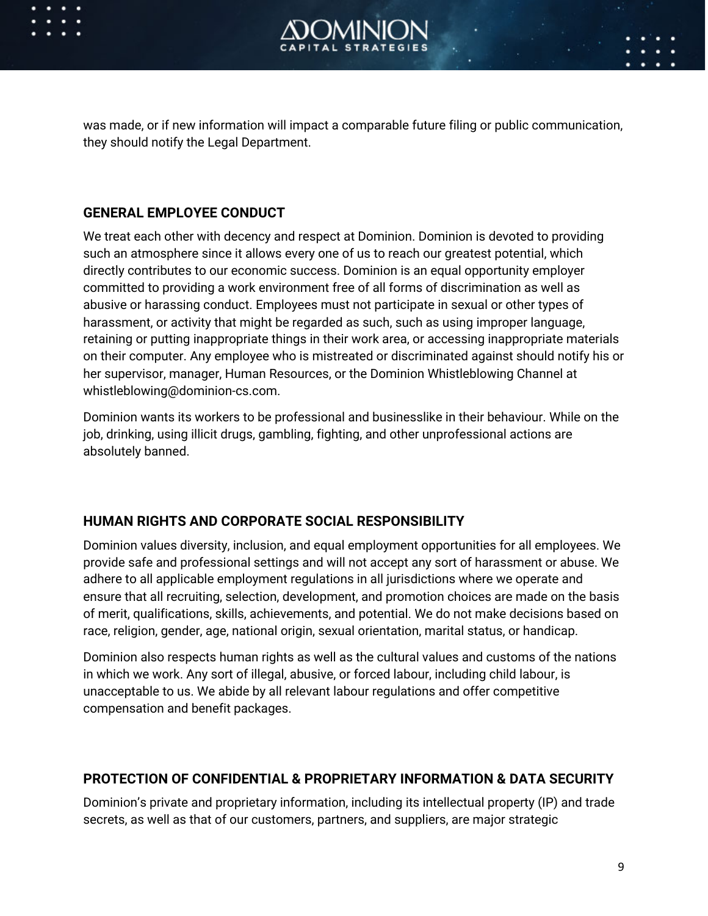

was made, or if new information will impact a comparable future filing or public communication, they should notify the Legal Department.

## **GENERAL EMPLOYEE CONDUCT**

We treat each other with decency and respect at Dominion. Dominion is devoted to providing such an atmosphere since it allows every one of us to reach our greatest potential, which directly contributes to our economic success. Dominion is an equal opportunity employer committed to providing a work environment free of all forms of discrimination as well as abusive or harassing conduct. Employees must not participate in sexual or other types of harassment, or activity that might be regarded as such, such as using improper language, retaining or putting inappropriate things in their work area, or accessing inappropriate materials on their computer. Any employee who is mistreated or discriminated against should notify his or her supervisor, manager, Human Resources, or the Dominion Whistleblowing Channel at whistleblowing@dominion-cs.com.

Dominion wants its workers to be professional and businesslike in their behaviour. While on the job, drinking, using illicit drugs, gambling, fighting, and other unprofessional actions are absolutely banned.

# **HUMAN RIGHTS AND CORPORATE SOCIAL RESPONSIBILITY**

Dominion values diversity, inclusion, and equal employment opportunities for all employees. We provide safe and professional settings and will not accept any sort of harassment or abuse. We adhere to all applicable employment regulations in all jurisdictions where we operate and ensure that all recruiting, selection, development, and promotion choices are made on the basis of merit, qualifications, skills, achievements, and potential. We do not make decisions based on race, religion, gender, age, national origin, sexual orientation, marital status, or handicap.

Dominion also respects human rights as well as the cultural values and customs of the nations in which we work. Any sort of illegal, abusive, or forced labour, including child labour, is unacceptable to us. We abide by all relevant labour regulations and offer competitive compensation and benefit packages.

# **PROTECTION OF CONFIDENTIAL & PROPRIETARY INFORMATION & DATA SECURITY**

Dominion's private and proprietary information, including its intellectual property (IP) and trade secrets, as well as that of our customers, partners, and suppliers, are major strategic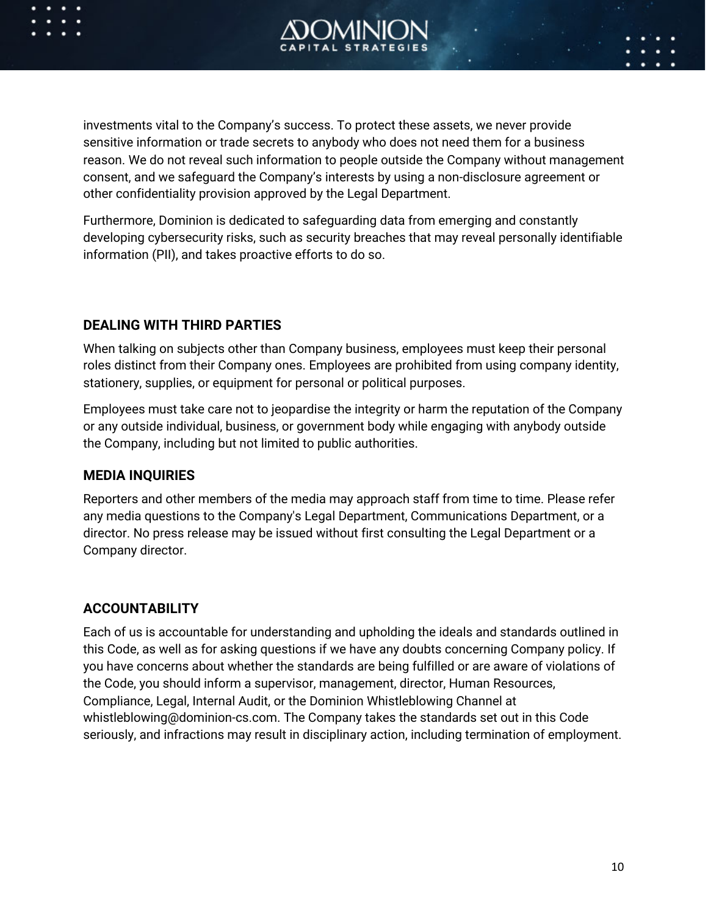

investments vital to the Company's success. To protect these assets, we never provide sensitive information or trade secrets to anybody who does not need them for a business reason. We do not reveal such information to people outside the Company without management consent, and we safeguard the Company's interests by using a non-disclosure agreement or other confidentiality provision approved by the Legal Department.

Furthermore, Dominion is dedicated to safeguarding data from emerging and constantly developing cybersecurity risks, such as security breaches that may reveal personally identifiable information (PII), and takes proactive efforts to do so.

### **DEALING WITH THIRD PARTIES**

When talking on subjects other than Company business, employees must keep their personal roles distinct from their Company ones. Employees are prohibited from using company identity, stationery, supplies, or equipment for personal or political purposes.

Employees must take care not to jeopardise the integrity or harm the reputation of the Company or any outside individual, business, or government body while engaging with anybody outside the Company, including but not limited to public authorities.

# **MEDIA INQUIRIES**

Reporters and other members of the media may approach staff from time to time. Please refer any media questions to the Company's Legal Department, Communications Department, or a director. No press release may be issued without first consulting the Legal Department or a Company director.

# **ACCOUNTABILITY**

Each of us is accountable for understanding and upholding the ideals and standards outlined in this Code, as well as for asking questions if we have any doubts concerning Company policy. If you have concerns about whether the standards are being fulfilled or are aware of violations of the Code, you should inform a supervisor, management, director, Human Resources, Compliance, Legal, Internal Audit, or the Dominion Whistleblowing Channel at whistleblowing@dominion-cs.com. The Company takes the standards set out in this Code seriously, and infractions may result in disciplinary action, including termination of employment.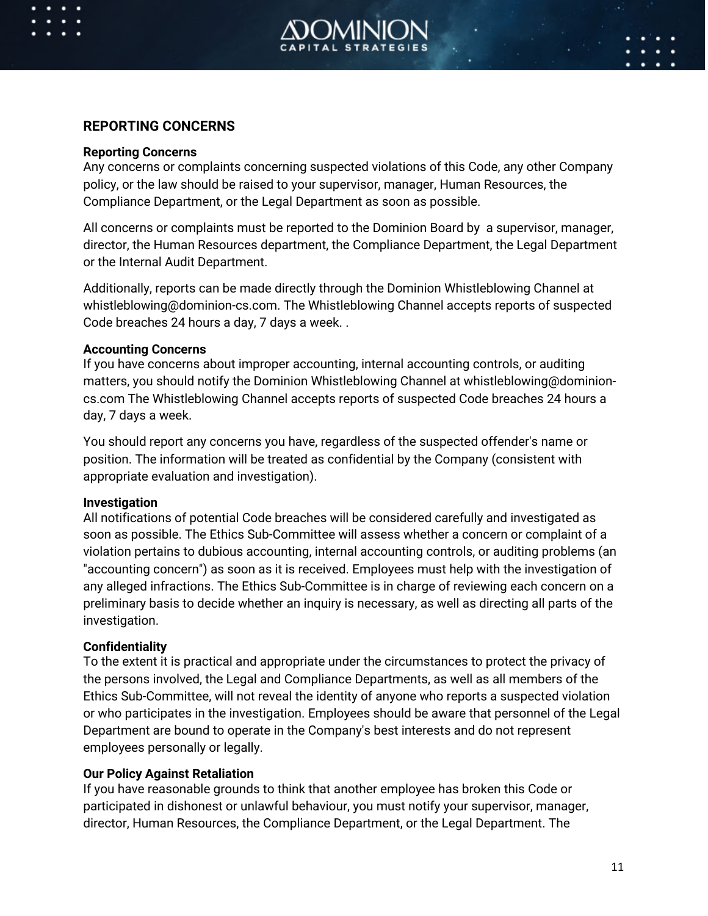

### **REPORTING CONCERNS**

#### **Reporting Concerns**

Any concerns or complaints concerning suspected violations of this Code, any other Company policy, or the law should be raised to your supervisor, manager, Human Resources, the Compliance Department, or the Legal Department as soon as possible.

All concerns or complaints must be reported to the Dominion Board by a supervisor, manager, director, the Human Resources department, the Compliance Department, the Legal Department or the Internal Audit Department.

Additionally, reports can be made directly through the Dominion Whistleblowing Channel at whistleblowing@dominion-cs.com. The Whistleblowing Channel accepts reports of suspected Code breaches 24 hours a day, 7 days a week. .

#### **Accounting Concerns**

If you have concerns about improper accounting, internal accounting controls, or auditing matters, you should notify the Dominion Whistleblowing Channel at whistleblowing@dominioncs.com The Whistleblowing Channel accepts reports of suspected Code breaches 24 hours a day, 7 days a week.

You should report any concerns you have, regardless of the suspected offender's name or position. The information will be treated as confidential by the Company (consistent with appropriate evaluation and investigation).

#### **Investigation**

All notifications of potential Code breaches will be considered carefully and investigated as soon as possible. The Ethics Sub-Committee will assess whether a concern or complaint of a violation pertains to dubious accounting, internal accounting controls, or auditing problems (an "accounting concern") as soon as it is received. Employees must help with the investigation of any alleged infractions. The Ethics Sub-Committee is in charge of reviewing each concern on a preliminary basis to decide whether an inquiry is necessary, as well as directing all parts of the investigation.

#### **Confidentiality**

To the extent it is practical and appropriate under the circumstances to protect the privacy of the persons involved, the Legal and Compliance Departments, as well as all members of the Ethics Sub-Committee, will not reveal the identity of anyone who reports a suspected violation or who participates in the investigation. Employees should be aware that personnel of the Legal Department are bound to operate in the Company's best interests and do not represent employees personally or legally.

#### **Our Policy Against Retaliation**

If you have reasonable grounds to think that another employee has broken this Code or participated in dishonest or unlawful behaviour, you must notify your supervisor, manager, director, Human Resources, the Compliance Department, or the Legal Department. The